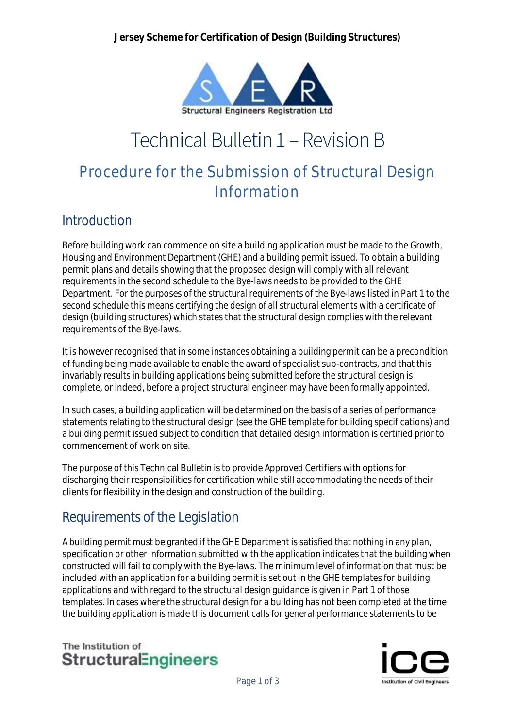

# Technical Bulletin 1 - Revision B

## Procedure for the Submission of Structural Design Information

#### Introduction

Before building work can commence on site a building application must be made to the Growth, Housing and Environment Department (GHE) and a building permit issued. To obtain a building permit plans and details showing that the proposed design will comply with all relevant requirements in the second schedule to the Bye-laws needs to be provided to the GHE Department. For the purposes of the structural requirements of the Bye-laws listed in Part 1 to the second schedule this means certifying the design of all structural elements with a certificate of design (building structures) which states that the structural design complies with the relevant requirements of the Bye-laws.

It is however recognised that in some instances obtaining a building permit can be a precondition of funding being made available to enable the award of specialist sub-contracts, and that this invariably results in building applications being submitted before the structural design is complete, or indeed, before a project structural engineer may have been formally appointed.

In such cases, a building application will be determined on the basis of a series of performance statements relating to the structural design (see the GHE template for building specifications) and a building permit issued subject to condition that detailed design information is certified prior to commencement of work on site.

The purpose of this Technical Bulletin is to provide Approved Certifiers with options for discharging their responsibilities for certification while still accommodating the needs of their clients for flexibility in the design and construction of the building.

#### Requirements of the Legislation

A building permit must be granted if the GHE Department is satisfied that nothing in any plan, specification or other information submitted with the application indicates that the building when constructed will fail to comply with the Bye-laws. The minimum level of information that must be included with an application for a building permit is set out in the GHE templates for building applications and with regard to the structural design guidance is given in Part 1 of those templates. In cases where the structural design for a building has not been completed at the time the building application is made this document calls for general performance statements to be



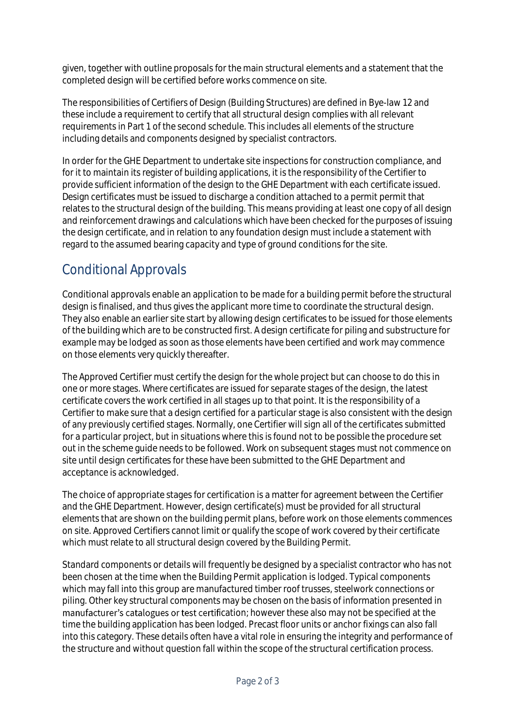given, together with outline proposals for the main structural elements and a statement that the completed design will be certified before works commence on site.

The responsibilities of Certifiers of Design (Building Structures) are defined in Bye-law 12 and these include a requirement to certify that all structural design complies with all relevant requirements in Part 1 of the second schedule. This includes all elements of the structure including details and components designed by specialist contractors.

In order for the GHE Department to undertake site inspections for construction compliance, and for it to maintain its register of building applications, it is the responsibility of the Certifier to provide sufficient information of the design to the GHE Department with each certificate issued. Design certificates must be issued to discharge a condition attached to a permit permit that relates to the structural design of the building. This means providing at least one copy of all design and reinforcement drawings and calculations which have been checked for the purposes of issuing the design certificate, and in relation to any foundation design must include a statement with regard to the assumed bearing capacity and type of ground conditions for the site.

### Conditional Approvals

Conditional approvals enable an application to be made for a building permit before the structural design is finalised, and thus gives the applicant more time to coordinate the structural design. They also enable an earlier site start by allowing design certificates to be issued for those elements of the building which are to be constructed first. A design certificate for piling and substructure for example may be lodged as soon as those elements have been certified and work may commence on those elements very quickly thereafter.

The Approved Certifier must certify the design for the whole project but can choose to do this in one or more stages. Where certificates are issued for separate stages of the design, the latest certificate covers the work certified in all stages up to that point. It is the responsibility of a Certifier to make sure that a design certified for a particular stage is also consistent with the design of any previously certified stages. Normally, one Certifier will sign all of the certificates submitted for a particular project, but in situations where this is found not to be possible the procedure set out in the scheme guide needs to be followed. Work on subsequent stages must not commence on site until design certificates for these have been submitted to the GHE Department and acceptance is acknowledged.

The choice of appropriate stages for certification is a matter for agreement between the Certifier and the GHE Department. However, design certificate(s) must be provided for all structural elements that are shown on the building permit plans, before work on those elements commences on site. Approved Certifiers cannot limit or qualify the scope of work covered by their certificate which must relate to all structural design covered by the Building Permit.

Standard components or details will frequently be designed by a specialist contractor who has not been chosen at the time when the Building Permit application is lodged. Typical components which may fall into this group are manufactured timber roof trusses, steelwork connections or piling. Other key structural components may be chosen on the basis of information presented in manufacturer's catalogues or test certification; however these also may not be specified at the time the building application has been lodged. Precast floor units or anchor fixings can also fall into this category. These details often have a vital role in ensuring the integrity and performance of the structure and without question fall within the scope of the structural certification process.